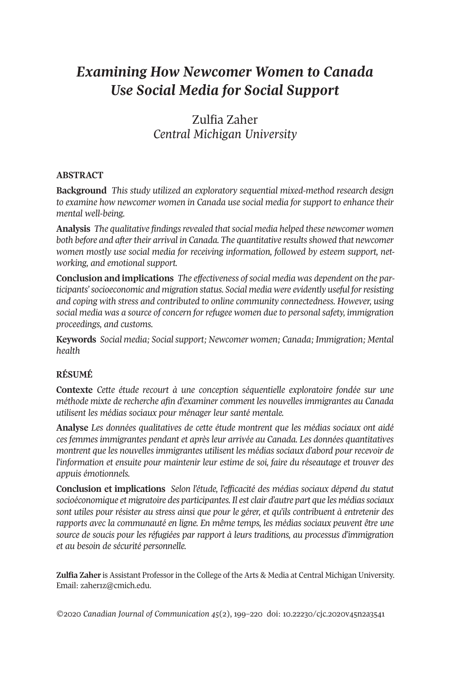# *Examining How Newcomer Women to Canada Use Social Media for Social Support*

# Zulfia Zaher *Central Michigan University*

# **AbstrAct**

**background** *This study utilized an exploratory sequential mixed-method research design to examine how newcomer women in Canada use social media for support to enhance their mental well-being.*

**Analysis** *The qualitative findingsrevealed thatsocial media helped these newcomer women both before and aftertheir arrival in Canada. The quantitative resultsshowed that newcomer women mostly use social media for receiving information, followed by esteem support, networking, and emotional support.*

**conclusion and implications** *The effectiveness ofsocial media was dependent on the participants'socioeconomic and migration status. Social media were evidently useful forresisting and coping with stress and contributed to online community connectedness. However, using social media was a source of concern for refugee women due to personal safety, immigration proceedings, and customs.*

**Keywords** *Social media; Socialsupport; Newcomer women; Canada; Immigration; Mental health*

# **rÉsUMÉ**

**contexte** *Cette étude recourt à une conception séquentielle exploratoire fondée sur une méthode mixte de recherche afin d'examiner comment les nouvelles immigrantes au Canada utilisent les médias sociaux pour ménager leur santé mentale.*

**Analyse** *Les données qualitatives de cette étude montrent que les médias sociaux ont aidé ces femmes immigrantes pendant et après leur arrivée au Canada. Les données quantitatives montrent que les nouvelles immigrantes utilisent les médias sociaux d'abord pour recevoir de l'information et ensuite pour maintenir leur estime de soi, faire du réseautage et trouver des appuis émotionnels.*

**conclusion et implications** *Selon l'étude, l'efficacité des médias sociaux dépend du statut socioéconomique et migratoire des participantes.Il est clair d'autre part que les médiassociaux sont utiles pour résister au stress ainsi que pour le gérer, et qu'ils contribuent à entretenir des rapports avec la communauté en ligne. En même temps, les médias sociaux peuvent être une source de soucis pour les réfugiées par rapport à leurs traditions, au processus d'immigration et au besoin de sécurité personnelle.*

**Zulfia Zaher** is Assistant Professorin the College of the Arts & Media at Central Michigan University. Email: [zaher1z@cmich.edu.](mailto:zaher1z@cmich.edu)

*©*2020 *Canadian Journal of [Communication](http://www.cjc-online.ca) 45*(2), 122–220 doi: [10.22230/cjc.2020v45n2a3541](https://doi.org/10.22230/cjc.2020v45n2a3541)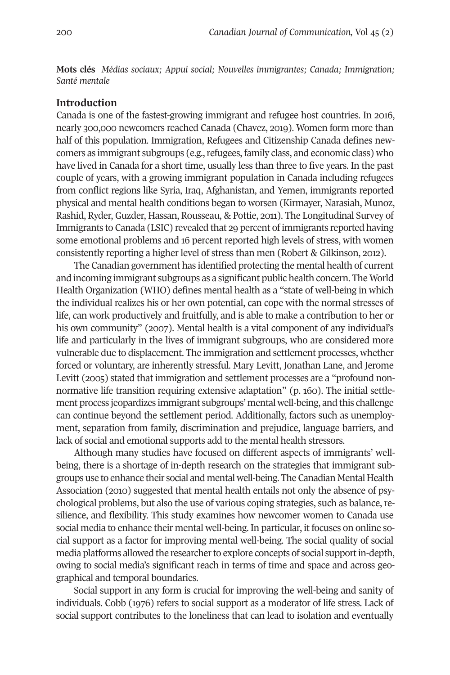**Mots clés** *Médias sociaux; Appui social; Nouvelles immigrantes; Canada; Immigration; Santé mentale*

# **Introduction**

Canada is one of the fastest-growing immigrant and refugee host countries. In 2016, nearly 300,000 newcomers reached Canada (Chavez, 2012). Women form more than half of this population. Immigration, Refugees and Citizenship Canada defines newcomers as immigrant subgroups (e.g.,refugees, family class, and economic class) who have lived in Canada for a short time, usually less than three to five years. In the past couple of years, with a growing immigrant population in Canada including refugees from conflict regions like Syria, Iraq, Afghanistan, and Yemen, immigrants reported physical and mental health conditions began to worsen (Kirmayer, Narasiah, Munoz, Rashid, Ryder, Guzder, Hassan, Rousseau, & Pottie, 2011). The Longitudinal Survey of Immigrants to Canada (LSIC) revealed that 22 percent of immigrants reported having some emotional problems and 16 percent reported high levels of stress, with women consistently reporting a higher level of stress than men (Robert & Gilkinson, 2012).

The Canadian government has identified protecting the mental health of current and incoming immigrant subgroups as a significant public health concern. The World Health Organization (WHO) defines mental health as a "state of well-being in which the individual realizes his or her own potential, can cope with the normal stresses of life, can work productively and fruitfully, and is able to make a contribution to her or his own community" (2007). Mental health is a vital component of any individual's life and particularly in the lives of immigrant subgroups, who are considered more vulnerable due to displacement. The immigration and settlement processes, whether forced or voluntary, are inherently stressful. Mary Levitt, Jonathan Lane, and Jerome Levitt (2005) stated that immigration and settlement processes are a "profound nonnormative life transition requiring extensive adaptation" (p. 160). The initial settlement process jeopardizes immigrant subgroups' mental well-being, and this challenge can continue beyond the settlement period. Additionally, factors such as unemployment, separation from family, discrimination and prejudice, language barriers, and lack of social and emotional supports add to the mental health stressors.

Although many studies have focused on different aspects of immigrants' wellbeing, there is a shortage of in-depth research on the strategies that immigrant subgroups use to enhance their social and mental well-being. The Canadian Mental Health Association (2010) suggested that mental health entails not only the absence of psychological problems, but also the use of various coping strategies, such as balance, resilience, and flexibility. This study examines how newcomer women to Canada use social media to enhance their mental well-being. In particular, it focuses on online social support as a factor for improving mental well-being. The social quality of social media platforms allowed the researcher to explore concepts of social support in-depth, owing to social media's significant reach in terms of time and space and across geographical and temporal boundaries.

Social support in any form is crucial for improving the well-being and sanity of individuals. Cobb (1276) refers to social support as a moderator of life stress. Lack of social support contributes to the loneliness that can lead to isolation and eventually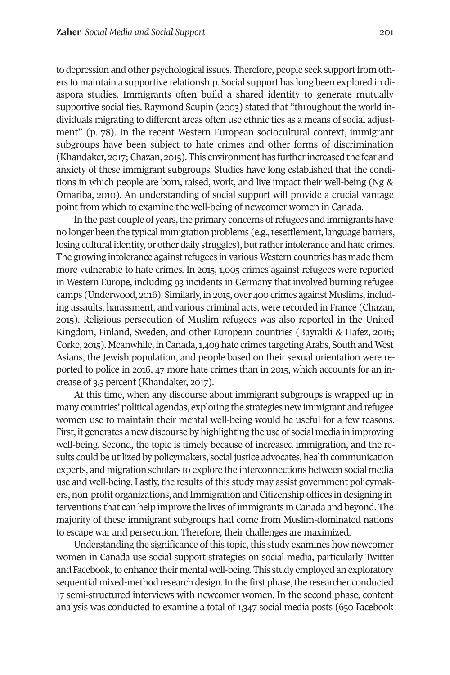to depression and other psychological issues. Therefore, people seek support from others to maintain a supportive relationship. Social support has long been explored in diaspora studies. Immigrants often build a shared identity to generate mutually supportive social ties. Raymond Scupin (2003) stated that "throughout the world individuals migrating to different areas often use ethnic ties as a means of social adjustment" (p. 78). In the recent Western European sociocultural context, immigrant subgroups have been subject to hate crimes and other forms of discrimination (Khandaker, 2017; Chazan, 2015). This environment has further increased the fear and anxiety of these immigrant subgroups. Studies have long established that the conditions in which people are born, raised, work, and live impact their well-being (Ng & Omariba, 2010). An understanding of social support will provide a crucial vantage point from which to examine the well-being of newcomer women in Canada.

In the past couple of years, the primary concerns of refugees and immigrants have no longer been the typical immigration problems (e.g., resettlement, language barriers, losing cultural identity, or other daily struggles), but rather intolerance and hate crimes. The growing intolerance against refugees in various Western countries has made them more vulnerable to hate crimes. In 2015, 1,005 crimes against refugees were reported in Western Europe, including 23 incidents in Germany that involved burning refugee camps (Underwood, 2016). Similarly, in 2015, over 400 crimes against Muslims, including assaults, harassment, and various criminal acts, were recorded in France (Chazan, 2015). Religious persecution of Muslim refugees was also reported in the United Kingdom, Finland, Sweden, and other European countries (Bayrakli & Hafez, 2016; Corke, 2015). Meanwhile, in Canada,1,402 hate crimes targetingArabs, South and West Asians, the Jewish population, and people based on their sexual orientation were reported to police in 2016, 47 more hate crimes than in 2015, which accounts for an increase of 3.5 percent (Khandaker, 2017).

At this time, when any discourse about immigrant subgroups is wrapped up in many countries' political agendas, exploring the strategies new immigrant and refugee women use to maintain their mental well-being would be useful for a few reasons. First, it generates a new discourse by highlighting the use of social media in improving well-being. Second, the topic is timely because of increased immigration, and the results could be utilized by policymakers, social justice advocates, health communication experts, and migration scholars to explore the interconnections between social media use and well-being. Lastly, the results of this study may assist government policymakers, non-profit organizations, and Immigration and Citizenship offices in designing interventions that can help improve the lives of immigrants in Canada and beyond. The majority of these immigrant subgroups had come from Muslim-dominated nations to escape war and persecution. Therefore, their challenges are maximized.

Understanding the significance of this topic, this study examines how newcomer women in Canada use social support strategies on social media, particularly Twitter and Facebook, to enhance their mental well-being. This study employed an exploratory sequential mixed-method research design. In the first phase, the researcher conducted 17 semi-structured interviews with newcomer women. In the second phase, content analysis was conducted to examine a total of 1,347 social media posts (650 Facebook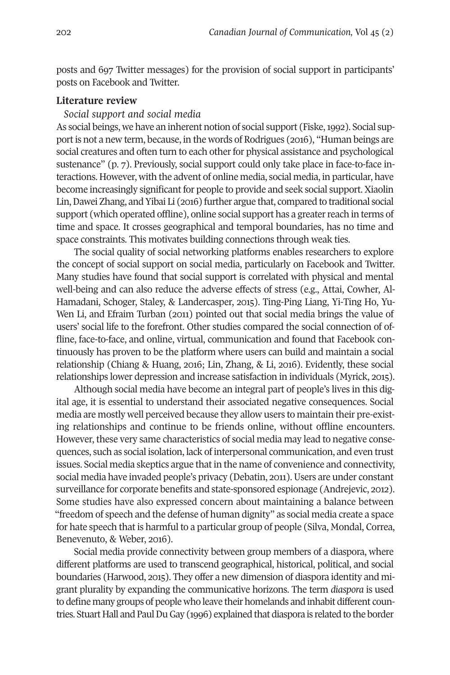posts and 627 Twitter messages) for the provision of social support in participants' posts on Facebook and Twitter.

# **Literature review**

# *Social support and social media*

As social beings, we have an inherent notion of social support (Fiske, 1992). Social supportis not a new term, because, in the words of Rodrigues (2016), "Human beings are social creatures and often turn to each other for physical assistance and psychological sustenance" (p. 7). Previously, social support could only take place in face-to-face interactions. However, with the advent of online media, social media, in particular, have become increasingly significant for people to provide and seek social support. Xiaolin Lin, Dawei Zhang, and Yibai Li (2016) further argue that, compared to traditional social support (which operated offline), online social support has a greater reach in terms of time and space. It crosses geographical and temporal boundaries, has no time and space constraints. This motivates building connections through weak ties.

The social quality of social networking platforms enables researchers to explore the concept of social support on social media, particularly on Facebook and Twitter. Many studies have found that social support is correlated with physical and mental well-being and can also reduce the adverse effects of stress (e.g., Attai, Cowher, Al-Hamadani, Schoger, Staley, & Landercasper, 2015). Ting-Ping Liang, Yi-Ting Ho, Yu-Wen Li, and Efraim Turban (2011) pointed out that social media brings the value of users' social life to the forefront. Other studies compared the social connection of offline, face-to-face, and online, virtual, communication and found that Facebook continuously has proven to be the platform where users can build and maintain a social relationship (Chiang & Huang, 2016; Lin, Zhang, & Li, 2016). Evidently, these social relationships lower depression and increase satisfaction in individuals (Myrick, 2015).

Although social media have become an integral part of people's lives in this digital age, it is essential to understand their associated negative consequences. Social media are mostly well perceived because they allow users to maintain their pre-existing relationships and continue to be friends online, without offline encounters. However, these very same characteristics of social media may lead to negative consequences, such as social isolation, lack of interpersonal communication, and even trust issues. Social media skeptics argue that in the name of convenience and connectivity, social media have invaded people's privacy (Debatin, 2011). Users are under constant surveillance for corporate benefits and state-sponsored espionage (Andrejevic, 2012). Some studies have also expressed concern about maintaining a balance between "freedom of speech and the defense of human dignity" as social media create a space for hate speech that is harmful to a particular group of people (Silva, Mondal, Correa, Benevenuto, & Weber, 2016).

Social media provide connectivity between group members of a diaspora, where different platforms are used to transcend geographical, historical, political, and social boundaries (Harwood, 2015). They offer a new dimension of diaspora identity and migrant plurality by expanding the communicative horizons. The term *diaspora* is used to define many groups of people who leave their homelands and inhabit different countries. Stuart Hall and Paul Du Gay (1996) explained that diaspora is related to the border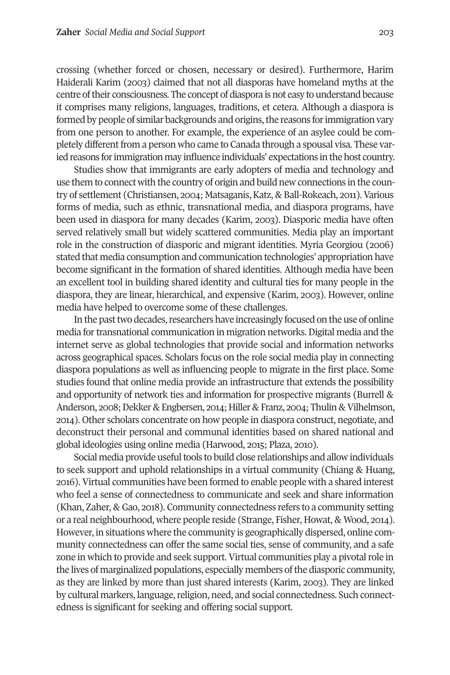crossing (whether forced or chosen, necessary or desired). Furthermore, Harim Haiderali Karim (2003) claimed that not all diasporas have homeland myths at the centre oftheir consciousness. The concept of diaspora is not easy to understand because it comprises many religions, languages, traditions, et cetera. Although a diaspora is formed by people of similar backgrounds and origins, the reasons for immigration vary from one person to another. For example, the experience of an asylee could be completely different from a person who came to Canada through a spousal visa. These varied reasons forimmigration may influence individuals' expectations in the host country.

Studies show that immigrants are early adopters of media and technology and use them to connect with the country of origin and build new connections in the country of settlement (Christiansen, 2004; Matsaganis,Katz, & Ball-Rokeach, 2011).Various forms of media, such as ethnic, transnational media, and diaspora programs, have been used in diaspora for many decades (Karim, 2003). Diasporic media have often served relatively small but widely scattered communities. Media play an important role in the construction of diasporic and migrant identities. Myria Georgiou (2006) stated that media consumption and communication technologies' appropriation have become significant in the formation of shared identities. Although media have been an excellent tool in building shared identity and cultural ties for many people in the diaspora, they are linear, hierarchical, and expensive (Karim, 2003). However, online media have helped to overcome some of these challenges.

In the past two decades, researchers have increasingly focused on the use of online media fortransnational communication in migration networks. Digital media and the internet serve as global technologies that provide social and information networks across geographical spaces. Scholars focus on the role social media play in connecting diaspora populations as well as influencing people to migrate in the first place. Some studies found that online media provide an infrastructure that extends the possibility and opportunity of network ties and information for prospective migrants (Burrell & Anderson, 2008; Dekker & Engbersen, 2014; Hiller & Franz, 2004; Thulin & Vilhelmson, 2014). Other scholars concentrate on how people in diaspora construct, negotiate, and deconstruct their personal and communal identities based on shared national and global ideologies using online media (Harwood, 2015; Plaza, 2010).

Social media provide useful tools to build close relationships and allow individuals to seek support and uphold relationships in a virtual community (Chiang & Huang, 2016). Virtual communities have been formed to enable people with a shared interest who feel a sense of connectedness to communicate and seek and share information (Khan, Zaher, & Gao, 2018). Community connectedness refers to a community setting or a real neighbourhood, where people reside (Strange, Fisher, Howat, & Wood, 2014). However, in situations where the community is geographically dispersed, online community connectedness can offer the same social ties, sense of community, and a safe zone in which to provide and seek support. Virtual communities play a pivotal role in the lives of marginalized populations, especially members ofthe diasporic community, as they are linked by more than just shared interests (Karim, 2003). They are linked by cultural markers, language, religion, need, and social connectedness. Such connectedness is significant for seeking and offering social support.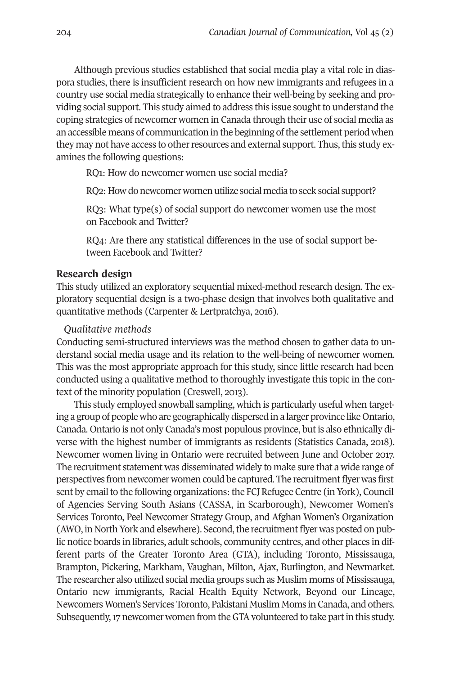Although previous studies established that social media play a vital role in diaspora studies, there is insufficient research on how new immigrants and refugees in a country use social media strategically to enhance their well-being by seeking and providing social support. This study aimed to address this issue sought to understand the coping strategies of newcomer women in Canada through their use of social media as an accessible means of communication in the beginning ofthe settlement period when they may not have access to other resources and external support. Thus, this study examines the following questions:

RQ1: How do newcomer women use social media?

RQ2: How do newcomer women utilize social media to seek social support?

RQ3: What type(s) of social support do newcomer women use the most on Facebook and Twitter?

RQ4: Are there any statistical differences in the use of social support between Facebook and Twitter?

# **Research design**

This study utilized an exploratory sequential mixed-method research design. The exploratory sequential design is a two-phase design that involves both qualitative and quantitative methods (Carpenter & Lertpratchya, 2016).

# *Qualitative methods*

Conducting semi-structured interviews was the method chosen to gather data to understand social media usage and its relation to the well-being of newcomer women. This was the most appropriate approach for this study, since little research had been conducted using a qualitative method to thoroughly investigate this topic in the context of the minority population (Creswell, 2013).

This study employed snowball sampling, which is particularly useful when targeting a group of people who are geographically dispersed in a larger province like Ontario, Canada. Ontario is not only Canada's most populous province, but is also ethnically diverse with the highest number of immigrants as residents (Statistics Canada, 2018). Newcomer women living in Ontario were recruited between June and October 2017. The recruitment statement was disseminated widely to make sure that a wide range of perspectives from newcomer women could be captured. The recruitment flyer was first sent by email to the following organizations: the FCJ Refugee Centre (in York), Council of Agencies Serving South Asians (CASSA, in Scarborough), Newcomer Women's Services Toronto, Peel Newcomer Strategy Group, and Afghan Women's Organization (AWO, in North York and elsewhere). Second, the recruitment flyer was posted on public notice boards in libraries, adult schools, community centres, and other places in different parts of the Greater Toronto Area (GTA), including Toronto, Mississauga, Brampton, Pickering, Markham, Vaughan, Milton, Ajax, Burlington, and Newmarket. The researcher also utilized social media groups such as Muslim moms of Mississauga, Ontario new immigrants, Racial Health Equity Network, Beyond our Lineage, NewcomersWomen's Services Toronto, Pakistani Muslim Moms in Canada, and others. Subsequently, 17 newcomer women from the GTA volunteered to take part in this study.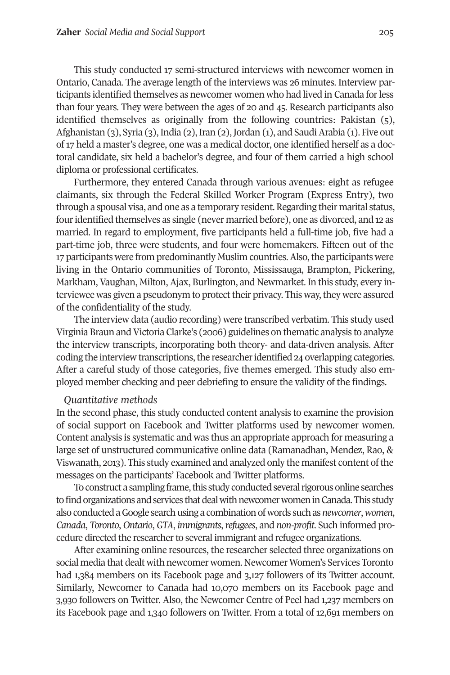This study conducted 17 semi-structured interviews with newcomer women in Ontario, Canada. The average length of the interviews was 26 minutes. Interview participants identified themselves as newcomer women who had lived in Canada forless than four years. They were between the ages of 20 and 45. Research participants also identified themselves as originally from the following countries: Pakistan (5), Afghanistan (3), Syria (3), India (2), Iran (2), Jordan (1), and Saudi Arabia (1). Five out of 17 held a master's degree, one was a medical doctor, one identified herself as a doctoral candidate, six held a bachelor's degree, and four of them carried a high school diploma or professional certificates.

Furthermore, they entered Canada through various avenues: eight as refugee claimants, six through the Federal Skilled Worker Program (Express Entry), two through a spousal visa, and one as a temporary resident.Regarding their marital status, fouridentified themselves as single (never married before), one as divorced, and 12 as married. In regard to employment, five participants held a full-time job, five had a part-time job, three were students, and four were homemakers. Fifteen out of the 17 participants were from predominantly Muslim countries.Also,the participants were living in the Ontario communities of Toronto, Mississauga, Brampton, Pickering, Markham, Vaughan, Milton, Ajax, Burlington, and Newmarket. In this study, every interviewee was given a pseudonym to protect their privacy. This way, they were assured of the confidentiality of the study.

The interview data (audio recording) were transcribed verbatim. This study used Virginia Braun and Victoria Clarke's (2006) guidelines on thematic analysis to analyze the interview transcripts, incorporating both theory- and data-driven analysis. After coding the interview transcriptions, the researcher identified 24 overlapping categories. After a careful study of those categories, five themes emerged. This study also employed member checking and peer debriefing to ensure the validity of the findings.

#### *Quantitative methods*

In the second phase, this study conducted content analysis to examine the provision of social support on Facebook and Twitter platforms used by newcomer women. Content analysis is systematic and was thus an appropriate approach for measuring a large set of unstructured communicative online data (Ramanadhan, Mendez, Rao, & Viswanath, 2013). This study examined and analyzed only the manifest content ofthe messages on the participants' Facebook and Twitter platforms.

To construct a sampling frame, this study conducted several rigorous online searches to find organizations and services that deal with newcomer women in Canada. This study also conducted a Google search using a combination of words such as *newcomer*, *women*, *Canada*, *Toronto*, *Ontario*, *GTA*, *immigrants*,*refugees*, and *non-profit*. Such informed procedure directed the researcher to several immigrant and refugee organizations.

After examining online resources, the researcher selected three organizations on social media that dealt with newcomer women. Newcomer Women's Services Toronto had 1,384 members on its Facebook page and 3,127 followers of its Twitter account. Similarly, Newcomer to Canada had 10,070 members on its Facebook page and 3,230 followers on Twitter. Also, the Newcomer Centre of Peel had 1,237 members on its Facebook page and 1,340 followers on Twitter. From a total of 12,691 members on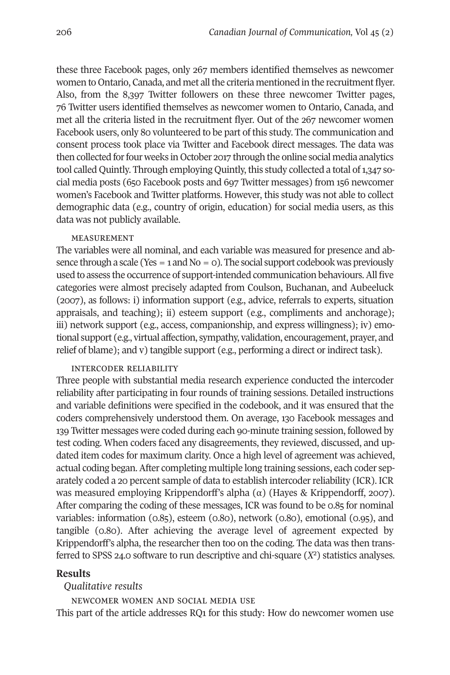these three Facebook pages, only 267 members identified themselves as newcomer women to Ontario, Canada, and met all the criteria mentioned in the recruitment flyer. Also, from the 8,327 Twitter followers on these three newcomer Twitter pages, 76 Twitter users identified themselves as newcomer women to Ontario, Canada, and met all the criteria listed in the recruitment flyer. Out of the 267 newcomer women Facebook users, only 80 volunteered to be part of this study. The communication and consent process took place via Twitter and Facebook direct messages. The data was then collected for four weeks in October 2017 through the online social media analytics tool called Quintly. Through employing Quintly, this study collected a total of 1,347 social media posts (650 Facebook posts and 627 Twitter messages) from 156 newcomer women's Facebook and Twitter platforms. However, this study was not able to collect demographic data (e.g., country of origin, education) for social media users, as this data was not publicly available.

#### MeasureMent

The variables were all nominal, and each variable was measured for presence and absence through a scale (Yes =  $1$  and No =  $\sigma$ ). The social support codebook was previously used to assess the occurrence of support-intended communication behaviours.All five categories were almost precisely adapted from Coulson, Buchanan, and Aubeeluck (2007), as follows: i) information support (e.g., advice, referrals to experts, situation appraisals, and teaching); ii) esteem support (e.g., compliments and anchorage); iii) network support (e.g., access, companionship, and express willingness); iv) emotional support (e.g., virtual affection, sympathy, validation, encouragement, prayer, and relief of blame); and v) tangible support (e.g., performing a direct or indirect task).

#### Intercoder relIabIlIty

Three people with substantial media research experience conducted the intercoder reliability after participating in four rounds of training sessions. Detailed instructions and variable definitions were specified in the codebook, and it was ensured that the coders comprehensively understood them. On average, 130 Facebook messages and 132 Twitter messages were coded during each 20-minute training session, followed by test coding. When coders faced any disagreements, they reviewed, discussed, and updated item codes for maximum clarity. Once a high level of agreement was achieved, actual coding began.After completing multiple long training sessions, each coder separately coded a 20 percent sample of data to establish intercoderreliability (ICR). ICR was measured employing Krippendorff's alpha (α) (Hayes & Krippendorff, 2007). After comparing the coding of these messages, ICR was found to be 0.85 for nominal variables: information (0.85), esteem (0.80), network (0.80), emotional (0.25), and tangible (0.80). After achieving the average level of agreement expected by Krippendorff's alpha, the researcher then too on the coding. The data was then transferred to SPSS 24.0 software to run descriptive and chi-square (*X*2) statistics analyses.

## **Results**

*Qualitative results*

newcoMer woMen and socIal MedIa use

This part of the article addresses RQ1 for this study: How do newcomer women use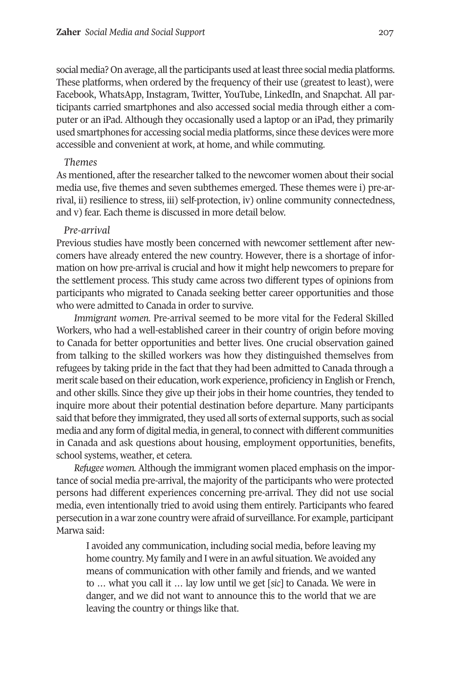social media? On average, all the participants used at least three social media platforms. These platforms, when ordered by the frequency of their use (greatest to least), were Facebook, WhatsApp, Instagram, Twitter, YouTube, LinkedIn, and Snapchat. All participants carried smartphones and also accessed social media through either a computer or an iPad. Although they occasionally used a laptop or an iPad, they primarily used smartphones for accessing social media platforms, since these devices were more accessible and convenient at work, at home, and while commuting.

#### *Themes*

As mentioned, after the researcher talked to the newcomer women about their social media use, five themes and seven subthemes emerged. These themes were i) pre-arrival, ii) resilience to stress, iii) self-protection, iv) online community connectedness, and v) fear. Each theme is discussed in more detail below.

#### *Pre-arrival*

Previous studies have mostly been concerned with newcomer settlement after newcomers have already entered the new country. However, there is a shortage of information on how pre-arrival is crucial and how it might help newcomers to prepare for the settlement process. This study came across two different types of opinions from participants who migrated to Canada seeking better career opportunities and those who were admitted to Canada in order to survive.

*Immigrant women.* Pre-arrival seemed to be more vital for the Federal Skilled Workers, who had a well-established career in their country of origin before moving to Canada for better opportunities and better lives. One crucial observation gained from talking to the skilled workers was how they distinguished themselves from refugees by taking pride in the fact that they had been admitted to Canada through a merit scale based on their education, work experience, proficiency in English or French, and other skills. Since they give up their jobs in their home countries, they tended to inquire more about their potential destination before departure. Many participants said that before they immigrated, they used all sorts of external supports, such as social media and any form of digital media, in general, to connect with different communities in Canada and ask questions about housing, employment opportunities, benefits, school systems, weather, et cetera.

*Refugee women.* Although the immigrant women placed emphasis on the importance of social media pre-arrival, the majority of the participants who were protected persons had different experiences concerning pre-arrival. They did not use social media, even intentionally tried to avoid using them entirely. Participants who feared persecution in a war zone country were afraid of surveillance. For example, participant Marwa said:

I avoided any communication, including social media, before leaving my home country. My family and I were in an awful situation. We avoided any means of communication with other family and friends, and we wanted to … what you call it … lay low until we get [*sic*] to Canada. We were in danger, and we did not want to announce this to the world that we are leaving the country or things like that.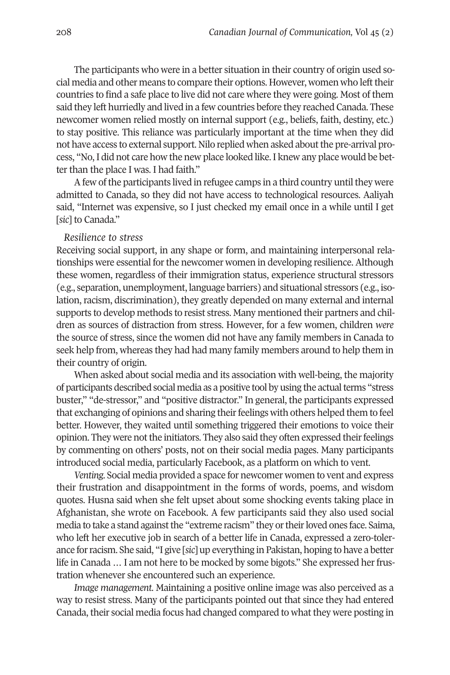The participants who were in a better situation in their country of origin used social media and other means to compare their options. However, women who lefttheir countries to find a safe place to live did not care where they were going. Most of them said they left hurriedly and lived in a few countries before they reached Canada. These newcomer women relied mostly on internal support (e.g., beliefs, faith, destiny, etc.) to stay positive. This reliance was particularly important at the time when they did not have access to external support. Nilo replied when asked aboutthe pre-arrival process, "No,I did not care how the new place looked like.I knew any place would be better than the place I was. I had faith."

A few of the participants lived in refugee camps in a third country until they were admitted to Canada, so they did not have access to technological resources. Aaliyah said, "Internet was expensive, so I just checked my email once in a while until I get [*sic*] to Canada."

# *Resilience to stress*

Receiving social support, in any shape or form, and maintaining interpersonal relationships were essential forthe newcomer women in developing resilience. Although these women, regardless of their immigration status, experience structural stressors (e.g., separation, unemployment, language barriers) and situational stressors (e.g., isolation, racism, discrimination), they greatly depended on many external and internal supports to develop methods to resist stress. Many mentioned their partners and children as sources of distraction from stress. However, for a few women, children *were* the source of stress, since the women did not have any family members in Canada to seek help from, whereas they had had many family members around to help them in their country of origin.

When asked about social media and its association with well-being, the majority of participants described social media as a positive tool by using the actual terms "stress" buster," "de-stressor," and "positive distractor." In general, the participants expressed that exchanging of opinions and sharing their feelings with others helped them to feel better. However, they waited until something triggered their emotions to voice their opinion. They were not the initiators. They also said they often expressed their feelings by commenting on others' posts, not on their social media pages. Many participants introduced social media, particularly Facebook, as a platform on which to vent.

*Venting.* Social media provided a space for newcomer women to vent and express their frustration and disappointment in the forms of words, poems, and wisdom quotes. Husna said when she felt upset about some shocking events taking place in Afghanistan, she wrote on Facebook. A few participants said they also used social media to take a stand against the "extreme racism" they or their loved ones face. Saima, who left her executive job in search of a better life in Canada, expressed a zero-tolerance forracism. She said, "I give [*sic*] up everything in Pakistan, hoping to have a better life in Canada … I am not here to be mocked by some bigots." She expressed herfrustration whenever she encountered such an experience.

*Image management.* Maintaining a positive online image was also perceived as a way to resist stress. Many of the participants pointed out that since they had entered Canada, their social media focus had changed compared to what they were posting in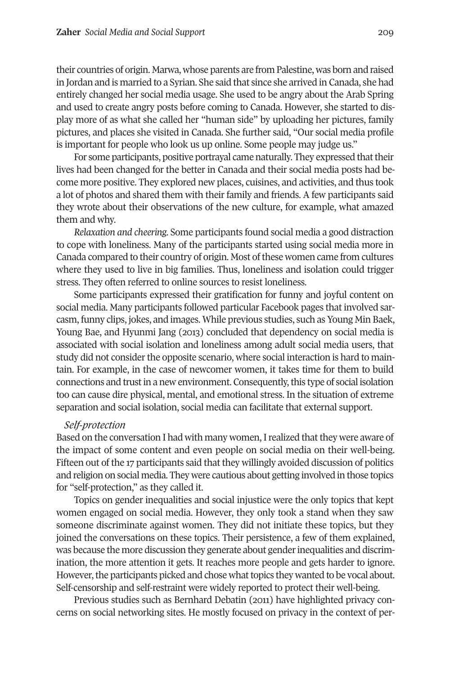their countries of origin. Marwa, whose parents are from Palestine, was born and raised in Jordan and is married to a Syrian. She said that since she arrived in Canada, she had entirely changed her social media usage. She used to be angry about the Arab Spring and used to create angry posts before coming to Canada. However, she started to display more of as what she called her "human side" by uploading her pictures, family pictures, and places she visited in Canada. She further said, "Our social media profile is important for people who look us up online. Some people may judge us."

For some participants, positive portrayal came naturally. They expressed that their lives had been changed for the better in Canada and their social media posts had become more positive. They explored new places, cuisines, and activities, and thus took a lot of photos and shared them with their family and friends. A few participants said they wrote about their observations of the new culture, for example, what amazed them and why.

*Relaxation and cheering.* Some participants found social media a good distraction to cope with loneliness. Many of the participants started using social media more in Canada compared to their country of origin. Most of these women came from cultures where they used to live in big families. Thus, loneliness and isolation could trigger stress. They often referred to online sources to resist loneliness.

Some participants expressed their gratification for funny and joyful content on social media. Many participants followed particular Facebook pages that involved sarcasm, funny clips, jokes, and images. While previous studies, such as Young Min Baek, Young Bae, and Hyunmi Jang (2013) concluded that dependency on social media is associated with social isolation and loneliness among adult social media users, that study did not consider the opposite scenario, where social interaction is hard to maintain. For example, in the case of newcomer women, it takes time for them to build connections and trustin a new environment. Consequently,this type of social isolation too can cause dire physical, mental, and emotional stress. In the situation of extreme separation and social isolation, social media can facilitate that external support.

#### *Self-protection*

Based on the conversation I had with many women, I realized that they were aware of the impact of some content and even people on social media on their well-being. Fifteen out of the 17 participants said that they willingly avoided discussion of politics and religion on social media. They were cautious about getting involved in those topics for "self-protection," as they called it.

Topics on gender inequalities and social injustice were the only topics that kept women engaged on social media. However, they only took a stand when they saw someone discriminate against women. They did not initiate these topics, but they joined the conversations on these topics. Their persistence, a few of them explained, was because the more discussion they generate about genderinequalities and discrimination, the more attention it gets. It reaches more people and gets harder to ignore. However, the participants picked and chose what topics they wanted to be vocal about. Self-censorship and self-restraint were widely reported to protect their well-being.

Previous studies such as Bernhard Debatin (2011) have highlighted privacy concerns on social networking sites. He mostly focused on privacy in the context of per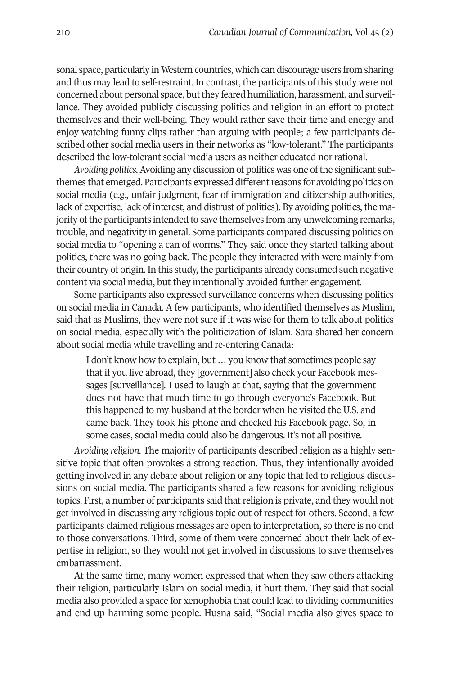sonal space, particularly in Western countries, which can discourage users from sharing and thus may lead to self-restraint. In contrast, the participants of this study were not concerned about personal space, but they feared humiliation, harassment, and surveillance. They avoided publicly discussing politics and religion in an effort to protect themselves and their well-being. They would rather save their time and energy and enjoy watching funny clips rather than arguing with people; a few participants described other social media users in their networks as "low-tolerant." The participants described the low-tolerant social media users as neither educated nor rational.

*Avoiding politics.*Avoiding any discussion of politics was one ofthe significant subthemes that emerged. Participants expressed different reasons for avoiding politics on social media (e.g., unfair judgment, fear of immigration and citizenship authorities, lack of expertise, lack of interest, and distrust of politics). By avoiding politics, the majority of the participants intended to save themselves from any unwelcoming remarks, trouble, and negativity in general. Some participants compared discussing politics on social media to "opening a can of worms." They said once they started talking about politics, there was no going back. The people they interacted with were mainly from their country of origin. In this study, the participants already consumed such negative content via social media, but they intentionally avoided further engagement.

Some participants also expressed surveillance concerns when discussing politics on social media in Canada. A few participants, who identified themselves as Muslim, said that as Muslims, they were not sure if it was wise for them to talk about politics on social media, especially with the politicization of Islam. Sara shared her concern about social media while travelling and re-entering Canada:

I don't know how to explain, but … you know that sometimes people say that if you live abroad, they [government] also check your Facebook messages [surveillance]. I used to laugh at that, saying that the government does not have that much time to go through everyone's Facebook. But this happened to my husband at the border when he visited the U.S. and came back. They took his phone and checked his Facebook page. So, in some cases, social media could also be dangerous. It's not all positive.

*Avoiding religion.* The majority of participants described religion as a highly sensitive topic that often provokes a strong reaction. Thus, they intentionally avoided getting involved in any debate about religion or any topic that led to religious discussions on social media. The participants shared a few reasons for avoiding religious topics. First, a number of participants said that religion is private, and they would not get involved in discussing any religious topic out of respect for others. Second, a few participants claimed religious messages are open to interpretation, so there is no end to those conversations. Third, some of them were concerned about their lack of expertise in religion, so they would not get involved in discussions to save themselves embarrassment.

At the same time, many women expressed that when they saw others attacking their religion, particularly Islam on social media, it hurt them. They said that social media also provided a space for xenophobia that could lead to dividing communities and end up harming some people. Husna said, "Social media also gives space to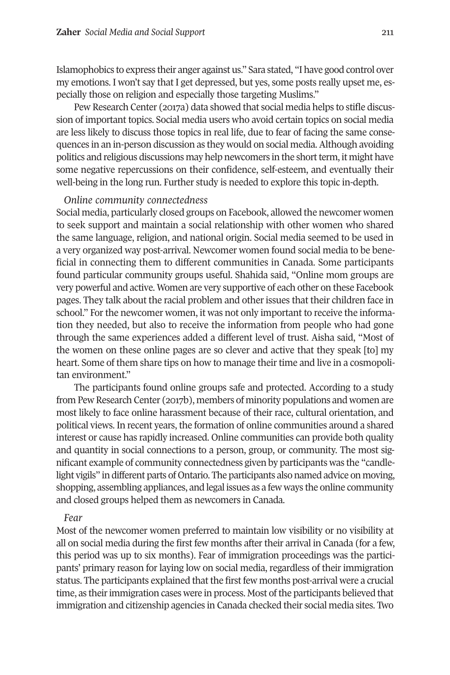Islamophobics to express their anger against us." Sara stated, "I have good control over my emotions. I won't say that I get depressed, but yes, some posts really upset me, especially those on religion and especially those targeting Muslims."

Pew Research Center (2017a) data showed that social media helps to stifle discussion of important topics. Social media users who avoid certain topics on social media are less likely to discuss those topics in real life, due to fear of facing the same consequences in an in-person discussion as they would on social media.Although avoiding politics and religious discussions may help newcomers in the short term, it might have some negative repercussions on their confidence, self-esteem, and eventually their well-being in the long run. Further study is needed to explore this topic in-depth.

#### *Online community connectedness*

Social media, particularly closed groups on Facebook, allowed the newcomer women to seek support and maintain a social relationship with other women who shared the same language, religion, and national origin. Social media seemed to be used in a very organized way post-arrival. Newcomer women found social media to be beneficial in connecting them to different communities in Canada. Some participants found particular community groups useful. Shahida said, "Online mom groups are very powerful and active. Women are very supportive of each other on these Facebook pages. They talk about the racial problem and other issues that their children face in school." For the newcomer women, it was not only important to receive the information they needed, but also to receive the information from people who had gone through the same experiences added a different level of trust. Aisha said, "Most of the women on these online pages are so clever and active that they speak [to] my heart. Some of them share tips on how to manage their time and live in a cosmopolitan environment."

The participants found online groups safe and protected. According to a study from Pew Research Center (2017b), members of minority populations and women are most likely to face online harassment because of their race, cultural orientation, and political views. In recent years, the formation of online communities around a shared interest or cause has rapidly increased. Online communities can provide both quality and quantity in social connections to a person, group, or community. The most significant example of community connectedness given by participants was the "candlelight vigils" in different parts of Ontario. The participants also named advice on moving, shopping, assembling appliances, and legal issues as a few ways the online community and closed groups helped them as newcomers in Canada.

#### *Fear*

Most of the newcomer women preferred to maintain low visibility or no visibility at all on social media during the first few months after their arrival in Canada (for a few, this period was up to six months). Fear of immigration proceedings was the participants' primary reason for laying low on social media, regardless of their immigration status. The participants explained that the first few months post-arrival were a crucial time, as their immigration cases were in process. Most of the participants believed that immigration and citizenship agencies in Canada checked their social media sites. Two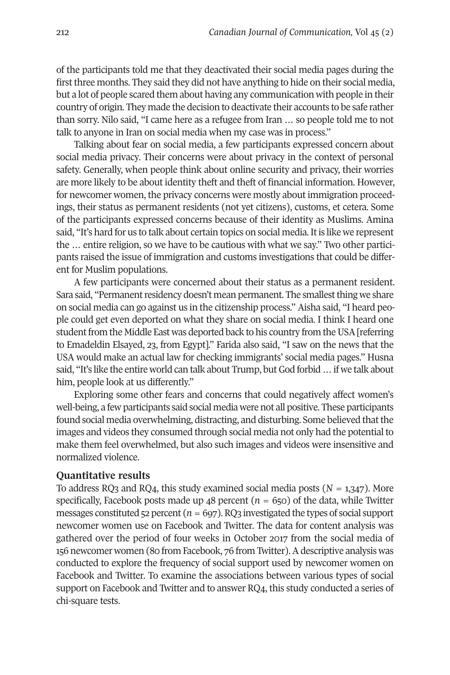of the participants told me that they deactivated their social media pages during the firstthree months. They said they did not have anything to hide on their social media, but a lot of people scared them about having any communication with people in their country of origin. They made the decision to deactivate their accounts to be safe rather than sorry. Nilo said, "I came here as a refugee from Iran … so people told me to not talk to anyone in Iran on social media when my case was in process."

Talking about fear on social media, a few participants expressed concern about social media privacy. Their concerns were about privacy in the context of personal safety. Generally, when people think about online security and privacy, their worries are more likely to be about identity theft and theft of financial information. However, for newcomer women, the privacy concerns were mostly about immigration proceedings, their status as permanent residents (not yet citizens), customs, et cetera. Some of the participants expressed concerns because of their identity as Muslims. Amina said, "It's hard for us to talk about certain topics on social media. It is like we represent the … entire religion, so we have to be cautious with what we say." Two other participants raised the issue of immigration and customs investigations that could be different for Muslim populations.

A few participants were concerned about their status as a permanent resident. Sara said, "Permanent residency doesn't mean permanent. The smallest thing we share on social media can go against us in the citizenship process." Aisha said, "I heard people could get even deported on what they share on social media. I think I heard one student from the Middle East was deported back to his country from the USA [referring] to Emadeldin Elsayed, 23, from Egypt]." Farida also said, "I saw on the news that the USA would make an actual law for checking immigrants' social media pages." Husna said, "It's like the entire world can talk about Trump, but God forbid ... if we talk about him, people look at us differently."

Exploring some other fears and concerns that could negatively affect women's well-being, a few participants said social media were not all positive. These participants found social media overwhelming, distracting, and disturbing. Some believed that the images and videos they consumed through social media not only had the potential to make them feel overwhelmed, but also such images and videos were insensitive and normalized violence.

## **Quantitative results**

To address RQ3 and RQ4, this study examined social media posts (*N* = 1,347). More specifically, Facebook posts made up  $48$  percent ( $n = 650$ ) of the data, while Twitter messages constituted 52 percent (*n*=627).RQ3 investigated the types of social support newcomer women use on Facebook and Twitter. The data for content analysis was gathered over the period of four weeks in October 2017 from the social media of 156 newcomer women (80 from Facebook, 76 from Twitter). A descriptive analysis was conducted to explore the frequency of social support used by newcomer women on Facebook and Twitter. To examine the associations between various types of social support on Facebook and Twitter and to answer RQ4, this study conducted a series of chi-square tests.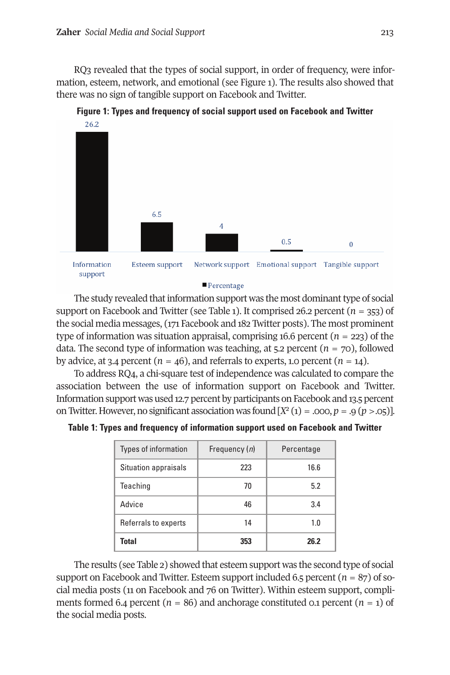RQ3 revealed that the types of social support, in order of frequency, were information, esteem, network, and emotional (see Figure 1). The results also showed that there was no sign of tangible support on Facebook and Twitter.





#### Percentage

The study revealed that information support was the most dominant type of social support on Facebook and Twitter (see Table 1). It comprised 26.2 percent  $(n = 353)$  of the social media messages, (171 Facebook and 182 Twitter posts). The most prominent type of information was situation appraisal, comprising 16.6 percent (*n* = 223) of the data. The second type of information was teaching, at  $\zeta$  percent ( $n = 70$ ), followed by advice, at 3.4 percent  $(n = 46)$ , and referrals to experts, 1.0 percent  $(n = 14)$ .

To address RQ4, a chi-square test of independence was calculated to compare the association between the use of information support on Facebook and Twitter. Information support was used 12.7 percent by participants on Facebook and 13.5 percent on Twitter. However, no significant association was found  $[X^2(1) = .000, p = .9 (p > .05)]$ .

| <b>Types of information</b> | Frequency (n) | Percentage |
|-----------------------------|---------------|------------|
| Situation appraisals        | 223           | 16.6       |
| Teaching                    | 70            | 5.2        |
| Advice                      | 46            | 3.4        |
| Referrals to experts        | 14            | 1.0        |
| Total                       | 353           | 26.2       |

The results (see Table 2) showed that esteem support was the second type of social support on Facebook and Twitter. Esteem support included 6.5 percent  $(n = 87)$  of social media posts (11 on Facebook and 76 on Twitter). Within esteem support, compliments formed 6.4 percent ( $n = 86$ ) and anchorage constituted 0.1 percent ( $n = 1$ ) of the social media posts.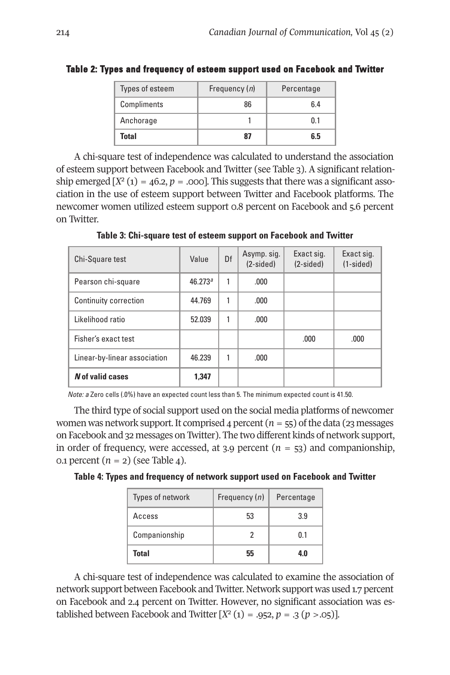| Types of esteem | Frequency (n) | Percentage |
|-----------------|---------------|------------|
| Compliments     | 86            | 6.4        |
| Anchorage       |               | 0.1        |
| <b>Total</b>    | 87            | 65         |

**Table 2: Types and frequency of esteem support used on Facebook and Twitter**

A chi-square test of independence was calculated to understand the association of esteem support between Facebook and Twitter (see Table 3). A significant relationship emerged  $[X^2(1) = 46.2, p = .000]$ . This suggests that there was a significant association in the use of esteem support between Twitter and Facebook platforms. The newcomer women utilized esteem support 0.8 percent on Facebook and 5.6 percent on Twitter.

**Table 3: Chi-square test of esteem support on Facebook and Twitter**

| Chi-Square test              | Value      | Df | Asymp. sig.<br>$(2-sided)$ | Exact sig.<br>$(2-sided)$ | Exact sig.<br>$(1-sided)$ |
|------------------------------|------------|----|----------------------------|---------------------------|---------------------------|
| Pearson chi-square           | $46.273^a$ | 1  | .000                       |                           |                           |
| <b>Continuity correction</b> | 44.769     | 1  | .000                       |                           |                           |
| Likelihood ratio             | 52.039     | 1  | .000                       |                           |                           |
| Fisher's exact test          |            |    |                            | .000                      | .000                      |
| Linear-by-linear association | 46.239     | 1  | .000                       |                           |                           |
| N of valid cases             | 1.347      |    |                            |                           |                           |

*Note: a* Zero cells (.0%) have an expected count less than 5. The minimum expected count is 41.50.

The third type of social support used on the social media platforms of newcomer women was network support. It comprised 4 percent  $(n = 55)$  of the data (23 messages) on Facebook and 32 messages on Twitter). The two different kinds of network support, in order of frequency, were accessed, at 3.2 percent (*n* = 53) and companionship, 0.1 percent  $(n = 2)$  (see Table 4).

**Table 4: Types and frequency of network support used on Facebook and Twitter**

| Types of network | Frequency $(n)$ | Percentage |
|------------------|-----------------|------------|
| Access           | 53              | 3.9        |
| Companionship    | 2               | 0.1        |
| <b>Total</b>     | 55              | 4.0        |

A chi-square test of independence was calculated to examine the association of network support between Facebook and Twitter. Network support was used 1.7 percent on Facebook and 2.4 percent on Twitter. However, no significant association was established between Facebook and Twitter  $[X^2(1) = .952, p = .3 (p > .05)$ .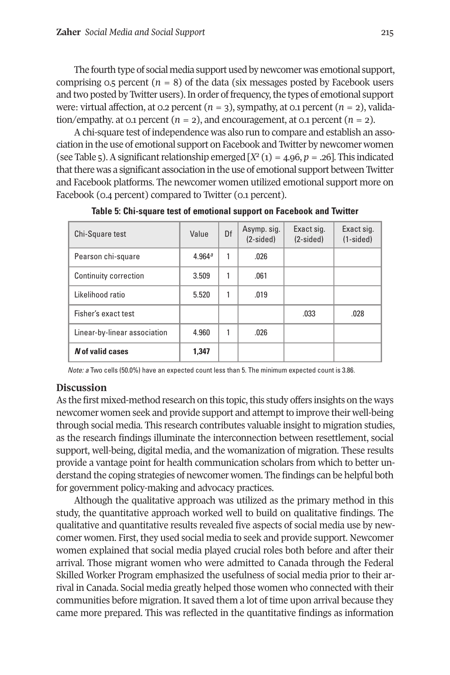The fourth type of social media support used by newcomer was emotional support, comprising 0.5 percent  $(n = 8)$  of the data (six messages posted by Facebook users and two posted by Twitter users). In order of frequency, the types of emotional support were: virtual affection, at 0.2 percent (*n* = 3), sympathy, at 0.1 percent (*n* = 2), validation/empathy. at 0.1 percent  $(n = 2)$ , and encouragement, at 0.1 percent  $(n = 2)$ .

A chi-square test of independence was also run to compare and establish an association in the use of emotional support on Facebook and Twitter by newcomer women (see Table 5). A significant relationship emerged  $[X^2(1) = 4.96, p = .26]$ . This indicated that there was a significant association in the use of emotional support between Twitter and Facebook platforms. The newcomer women utilized emotional support more on Facebook (0.4 percent) compared to Twitter (0.1 percent).

| <b>Chi-Square test</b>       | Value  | Df | Asymp. sig.<br>$(2-sided)$ | Exact sig.<br>$(2-sided)$ | Exact sig.<br>$(1-sided)$ |
|------------------------------|--------|----|----------------------------|---------------------------|---------------------------|
| Pearson chi-square           | 4.964a | 1  | .026                       |                           |                           |
| <b>Continuity correction</b> | 3.509  | 1  | .061                       |                           |                           |
| Likelihood ratio             | 5.520  |    | .019                       |                           |                           |
| Fisher's exact test          |        |    |                            | .033                      | .028                      |
| Linear-by-linear association | 4.960  |    | .026                       |                           |                           |
| N of valid cases             | 1.347  |    |                            |                           |                           |

**Table 5: Chi-square test of emotional support on Facebook and Twitter**

*Note: a* Two cells (50.0%) have an expected count less than 5. The minimum expected count is 3.86.

# **Discussion**

As the first mixed-method research on this topic, this study offers insights on the ways newcomer women seek and provide support and attempt to improve their well-being through social media. This research contributes valuable insight to migration studies, as the research findings illuminate the interconnection between resettlement, social support, well-being, digital media, and the womanization of migration. These results provide a vantage point for health communication scholars from which to better understand the coping strategies of newcomer women. The findings can be helpful both for government policy-making and advocacy practices.

Although the qualitative approach was utilized as the primary method in this study, the quantitative approach worked well to build on qualitative findings. The qualitative and quantitative results revealed five aspects of social media use by newcomer women. First, they used social media to seek and provide support. Newcomer women explained that social media played crucial roles both before and after their arrival. Those migrant women who were admitted to Canada through the Federal Skilled Worker Program emphasized the usefulness of social media prior to their arrival in Canada. Social media greatly helped those women who connected with their communities before migration. It saved them a lot of time upon arrival because they came more prepared. This was reflected in the quantitative findings as information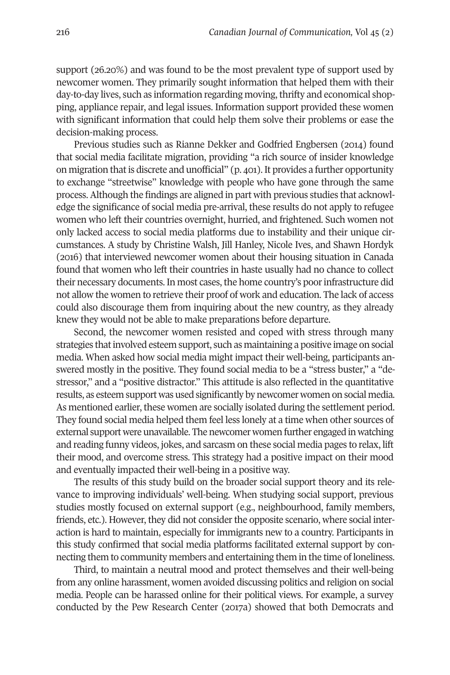support (26.20%) and was found to be the most prevalent type of support used by newcomer women. They primarily sought information that helped them with their day-to-day lives, such as information regarding moving, thrifty and economical shopping, appliance repair, and legal issues. Information support provided these women with significant information that could help them solve their problems or ease the decision-making process.

Previous studies such as Rianne Dekker and Godfried Engbersen (2014) found that social media facilitate migration, providing "a rich source of insider knowledge on migration thatis discrete and unofficial" (p. 401).It provides a further opportunity to exchange "streetwise" knowledge with people who have gone through the same process. Although the findings are aligned in part with previous studies that acknowledge the significance of social media pre-arrival, these results do not apply to refugee women who left their countries overnight, hurried, and frightened. Such women not only lacked access to social media platforms due to instability and their unique circumstances. A study by Christine Walsh, Jill Hanley, Nicole Ives, and Shawn Hordyk (2016) that interviewed newcomer women about their housing situation in Canada found that women who left their countries in haste usually had no chance to collect their necessary documents. In most cases, the home country's poor infrastructure did not allow the women to retrieve their proof of work and education. The lack of access could also discourage them from inquiring about the new country, as they already knew they would not be able to make preparations before departure.

Second, the newcomer women resisted and coped with stress through many strategies thatinvolved esteem support, such as maintaining a positive image on social media. When asked how social media might impact their well-being, participants answered mostly in the positive. They found social media to be a "stress buster," a "destressor," and a "positive distractor." This attitude is also reflected in the quantitative results, as esteem support was used significantly by newcomer women on social media. As mentioned earlier, these women are socially isolated during the settlement period. They found social media helped them feel less lonely at a time when other sources of external support were unavailable. The newcomer women further engaged in watching and reading funny videos, jokes, and sarcasm on these social media pages to relax, lift their mood, and overcome stress. This strategy had a positive impact on their mood and eventually impacted their well-being in a positive way.

The results of this study build on the broader social support theory and its relevance to improving individuals' well-being. When studying social support, previous studies mostly focused on external support (e.g., neighbourhood, family members, friends, etc.). However, they did not consider the opposite scenario, where social interaction is hard to maintain, especially for immigrants new to a country. Participants in this study confirmed that social media platforms facilitated external support by connecting them to community members and entertaining them in the time of loneliness.

Third, to maintain a neutral mood and protect themselves and their well-being from any online harassment, women avoided discussing politics and religion on social media. People can be harassed online for their political views. For example, a survey conducted by the Pew Research Center (2017a) showed that both Democrats and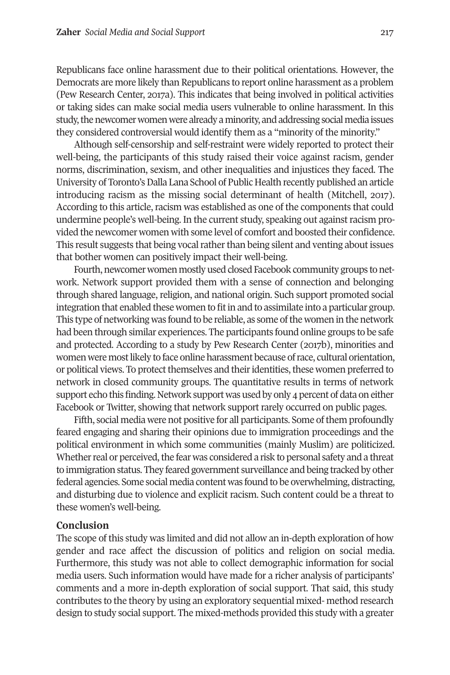Republicans face online harassment due to their political orientations. However, the Democrats are more likely than Republicans to report online harassment as a problem (Pew Research Center, 2017a). This indicates that being involved in political activities or taking sides can make social media users vulnerable to online harassment. In this study, the newcomer women were already a minority, and addressing social media issues they considered controversial would identify them as a "minority of the minority."

Although self-censorship and self-restraint were widely reported to protect their well-being, the participants of this study raised their voice against racism, gender norms, discrimination, sexism, and other inequalities and injustices they faced. The University of Toronto's Dalla Lana School of Public Health recently published an article introducing racism as the missing social determinant of health (Mitchell, 2017). According to this article, racism was established as one of the components that could undermine people's well-being. In the current study, speaking out againstracism provided the newcomer women with some level of comfort and boosted their confidence. This result suggests that being vocal rather than being silent and venting about issues that bother women can positively impact their well-being.

Fourth, newcomer women mostly used closed Facebook community groups to network. Network support provided them with a sense of connection and belonging through shared language, religion, and national origin. Such support promoted social integration that enabled these women to fitin and to assimilate into a particular group. This type of networking was found to be reliable, as some ofthe women in the network had been through similar experiences. The participants found online groups to be safe and protected. According to a study by Pew Research Center (2017b), minorities and women were most likely to face online harassment because of race, cultural orientation, or political views. To protect themselves and their identities, these women preferred to network in closed community groups. The quantitative results in terms of network support echo this finding. Network support was used by only 4 percent of data on either Facebook or Twitter, showing that network support rarely occurred on public pages.

Fifth, social media were not positive for all participants. Some of them profoundly feared engaging and sharing their opinions due to immigration proceedings and the political environment in which some communities (mainly Muslim) are politicized. Whether real or perceived, the fear was considered a risk to personal safety and a threat to immigration status. They feared government surveillance and being tracked by other federal agencies. Some social media content was found to be overwhelming, distracting, and disturbing due to violence and explicit racism. Such content could be a threat to these women's well-being.

# **Conclusion**

The scope of this study was limited and did not allow an in-depth exploration of how gender and race affect the discussion of politics and religion on social media. Furthermore, this study was not able to collect demographic information for social media users. Such information would have made for a richer analysis of participants' comments and a more in-depth exploration of social support. That said, this study contributes to the theory by using an exploratory sequential mixed- method research design to study social support. The mixed-methods provided this study with a greater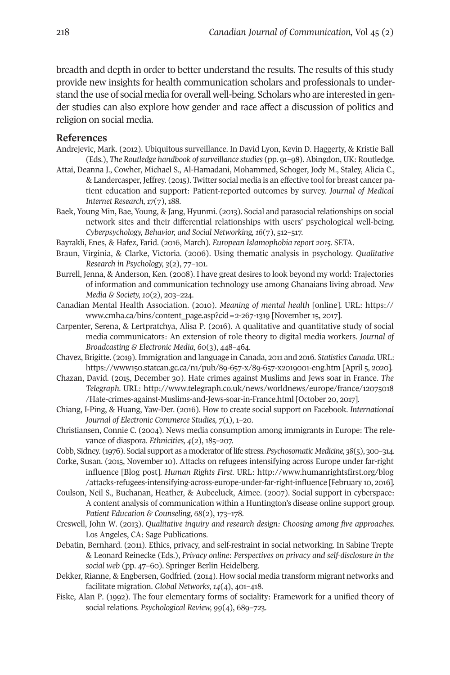breadth and depth in order to better understand the results. The results of this study provide new insights for health communication scholars and professionals to understand the use of social media for overall well-being. Scholars who are interested in gender studies can also explore how gender and race affect a discussion of politics and religion on social media.

#### **References**

- Andrejevic, Mark. (2012). Ubiquitous surveillance. In David Lyon, Kevin D. Haggerty, & Kristie Ball (Eds.), *The Routledge handbook ofsurveillance studies* (pp. 21–28). Abingdon, UK: Routledge.
- Attai, Deanna J., Cowher, Michael S., Al-Hamadani, Mohammed, Schoger, Jody M., Staley, Alicia C., & Landercasper, Jeffrey. (2015). Twitter social media is an effective tool for breast cancer patient education and support: Patient-reported outcomes by survey. *Journal of Medical Internet Research, 17*(7), 188.
- Baek, Young Min, Bae, Young, & Jang, Hyunmi. (2013). Social and parasocial relationships on social network sites and their differential relationships with users' psychological well-being. *Cyberpsychology, Behavior, and Social Networking, 16*(7), 512–517.
- Bayrakli, Enes, & Hafez, Farid. (2016, March). *European Islamophobia report 2015*. SETA.
- Braun, Virginia, & Clarke, Victoria. (2006). Using thematic analysis in psychology. *Qualitative Research in Psychology, 3*(2), 77–101.
- Burrell, Jenna, & Anderson, Ken. (2008). I have great desires to look beyond my world: Trajectories of information and communication technology use among Ghanaians living abroad. *New Media & Society, 10*(2), 203–224.
- Canadian Mental Health Association. (2010). *Meaning of mental health* [online]. URL: https:// [www.cmha.ca/bins/content\\_page.asp?cid=2-267-1312](http://www.cmha.ca/bins/content_page.asp?cid=2-267-1319) [November 15, 2017].
- Carpenter, Serena, & Lertpratchya, Alisa P. (2016). A qualitative and quantitative study of social media communicators: An extension of role theory to digital media workers. *Journal of Broadcasting & Electronic Media, 60*(3), 448–464.
- Chavez, Brigitte. (2012). Immigration and language in Canada, 2011 and 2016. *Statistics Canada.* URL: https://www150.statcan.gc.ca/n1/pub/89-657-x/89-657-x2019001-eng.htm [April 5, 2020].
- Chazan, David. (2015, December 30). Hate crimes against Muslims and Jews soar in France. *The Telegraph.* URL: [http://www.telegraph.co.uk/news/worldnews/europe/france/12075018](http://www.telegraph.co.uk/news/worldnews/europe/france/12075018/Hate-crimes-against-Muslims-and-Jews-soar-in-France.html) [/Hate-crimes-against-Muslims-and-Jews-soar-in-France.html](http://www.telegraph.co.uk/news/worldnews/europe/france/12075018/Hate-crimes-against-Muslims-and-Jews-soar-in-France.html) [October 20, 2017].
- Chiang, I-Ping, & Huang, Yaw-Der. (2016). How to create social support on Facebook. *International Journal of Electronic Commerce Studies, 7*(1), 1–20.
- Christiansen, Connie C. (2004). News media consumption among immigrants in Europe: The relevance of diaspora. *Ethnicities, 4*(2), 185–207.
- Cobb, Sidney. (1276). Social support as a moderator of life stress. *Psychosomatic Medicine, 38*(5), 300–314.
- Corke, Susan. (2015, November 10). Attacks on refugees intensifying across Europe under far-right influence [Blog post]. *Human Rights First.* URL: [http://www.humanrightsfirst.org/blog](http://www.humanrightsfirst.org/blog/attacks-refugees-intensifying-across-europe-under-far-right-influence) [/attacks-refugees-intensifying-across-europe-under-far-right-influence](http://www.humanrightsfirst.org/blog/attacks-refugees-intensifying-across-europe-under-far-right-influence) [February 10, 2016].
- Coulson, Neil S., Buchanan, Heather, & Aubeeluck, Aimee. (2007). Social support in cyberspace: A content analysis of communication within a Huntington's disease online support group. *Patient Education & Counseling, 68*(2), 173–178.
- Creswell, John W. (2013). *Qualitative inquiry and research design: Choosing among five approaches*. Los Angeles, CA: Sage Publications.
- Debatin, Bernhard. (2011). Ethics, privacy, and self-restraint in social networking. In Sabine Trepte & Leonard Reinecke (Eds.), *Privacy online: Perspectives on privacy and self-disclosure in the social web* (pp. 47–60). Springer Berlin Heidelberg.
- Dekker, Rianne, & Engbersen, Godfried. (2014). How social media transform migrant networks and facilitate migration. *Global Networks, 14*(4), 401–418.
- Fiske, Alan P. (1992). The four elementary forms of sociality: Framework for a unified theory of social relations. *Psychological Review, 99(4), 689-723.*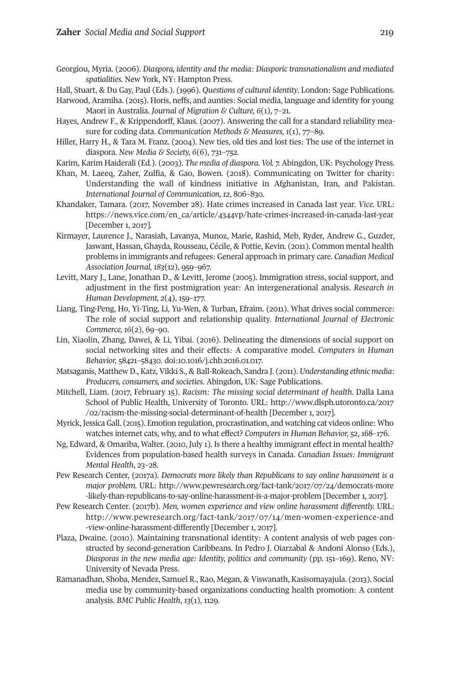- Georgiou, Myria. (2006). *Diaspora, identity and the media: Diasporic transnationalism and mediated spatialities.* New York, NY: Hampton Press.
- Hall, Stuart, & Du Gay, Paul (Eds.). (1226). *Questions of cultural identity*. London: Sage Publications.
- Harwood, Aramiha. (2015). Horis, neffs, and aunties: Social media, language and identity for young Maori in Australia. *Journal of Migration & Culture, 6*(1), 7–21.
- Hayes, Andrew F., & Krippendorff, Klaus. (2007). Answering the call for a standard reliability measure for coding data. *Communication Methods & Measures, 1*(1), 77–82.
- Hiller, Harry H., & Tara M. Franz. (2004). New ties, old ties and lost ties: The use of the internet in diaspora. *New Media & Society, 6*(6), 731–752.
- Karim, Karim Haiderali (Ed.). (2003). *The media of diaspora. Vol. 7.* Abingdon, UK: Psychology Press.
- Khan, M. Laeeq, Zaher, Zulfia, & Gao, Bowen. (2018). Communicating on Twitter for charity: Understanding the wall of kindness initiative in Afghanistan, Iran, and Pakistan. *International Journal of Communication, 12*, 806–830.
- Khandaker, Tamara. (2017, November 28). Hate crimes increased in Canada last year. *Vice.* URL: [https://news.vice.com/en\\_ca/article/4344vp/hate-crimes-increased-in-canada-last-year](https://news.vice.com/en_ca/article/4344vp/hate-crimes-increased-in-canada-last-year) [December 1, 2017].
- Kirmayer, Laurence J., Narasiah, Lavanya, Munoz, Marie, Rashid, Meb, Ryder, Andrew G., Guzder, Jaswant, Hassan, Ghayda, Rousseau, Cécile, & Pottie, Kevin. (2011). Common mental health problems in immigrants and refugees: General approach in primary care. *Canadian Medical Association Journal, 183*(12), 252–267.
- Levitt, Mary J., Lane, Jonathan D., & Levitt, Jerome (2005). Immigration stress, social support, and adjustment in the first postmigration year: An intergenerational analysis. *Research in Human Development, 2*(4), 159-177.
- Liang, Ting-Peng, Ho, Yi-Ting, Li, Yu-Wen, & Turban, Efraim. (2011). What drives social commerce: The role of social support and relationship quality. *International Journal of Electronic Commerce, 16(2), 69-90.*
- Lin, Xiaolin, Zhang, Dawei, & Li, Yibai. (2016). Delineating the dimensions of social support on social networking sites and their effects: A comparative model. *Computers in Human Behavior,* 58421–58430. doi[:10.1016/j.chb.2016.01.017.](http://doi.org/10.1016/j.chb.2016.01.017)
- Matsaganis, Matthew D., Katz, Vikki S., & Ball-Rokeach, Sandra J. (2011). *Understanding ethnic media: Producers, consumers, and societies*. Abingdon, UK: Sage Publications.
- Mitchell, Liam. (2017, February 15). *Racism: The missing social determinant of health.* Dalla Lana School of Public Health, University of Toronto. URL: [http://www.dlsph.utoronto.ca/2017](http://www.dlsph.utoronto.ca/2017/02/racism-the-missing-social-determinant-of-health) [/02/racism-the-missing-social-determinant-of-health](http://www.dlsph.utoronto.ca/2017/02/racism-the-missing-social-determinant-of-health) [December 1, 2017].
- Myrick, Jessica Gall. (2015). Emotion regulation, procrastination, and watching cat videos online: Who watches internet cats, why, and to what effect? *Computers in Human Behavior,* 52, 168–176.
- Ng, Edward, & Omariba, Walter. (2010, July 1). Is there a healthy immigrant effect in mental health? Evidences from population-based health surveys in Canada. *Canadian Issues: Immigrant Mental Health*, 23–28.
- Pew Research Center, (2017a). *Democrats more likely than Republicans to say online harassment is a major problem.* URL: [http://www.pewresearch.org/fact-tank/2017/07/24/democrats-more](http://www.pewresearch.org/fact-tank/2017/07/24/democrats-more-likely-than-republicans-to-say-online-harassment-is-a-major-problem) [-likely-than-republicans-to-say-online-harassment-is-a-major-problem](http://www.pewresearch.org/fact-tank/2017/07/24/democrats-more-likely-than-republicans-to-say-online-harassment-is-a-major-problem) [December 1, 2017].
- Pew Research Center. (2017b). *Men, women experience and view online harassment differently.* URL: [http://www.pewresearch.org/fact-tank/2017/07/14/men-women-experience-and](http://www.pewresearch.org/fact-tank/2017/07/14/men-women-experience-and-view-online-harassment-differently) [-view-online-harassment-differently](http://www.pewresearch.org/fact-tank/2017/07/14/men-women-experience-and-view-online-harassment-differently) [December 1, 2017].
- Plaza, Dwaine. (2010). Maintaining transnational identity: A content analysis of web pages constructed by second-generation Caribbeans. In Pedro J. Oiarzabal & Andoni Alonso (Eds.), *Diasporas in the new media age: Identity, politics and community* (pp. 151–162). Reno, NV: University of Nevada Press.
- Ramanadhan, Shoba, Mendez, Samuel R., Rao, Megan, & Viswanath, Kasisomayajula. (2013). Social media use by community-based organizations conducting health promotion: A content analysis. *BMC Public Health*, *13*(1), 1122.